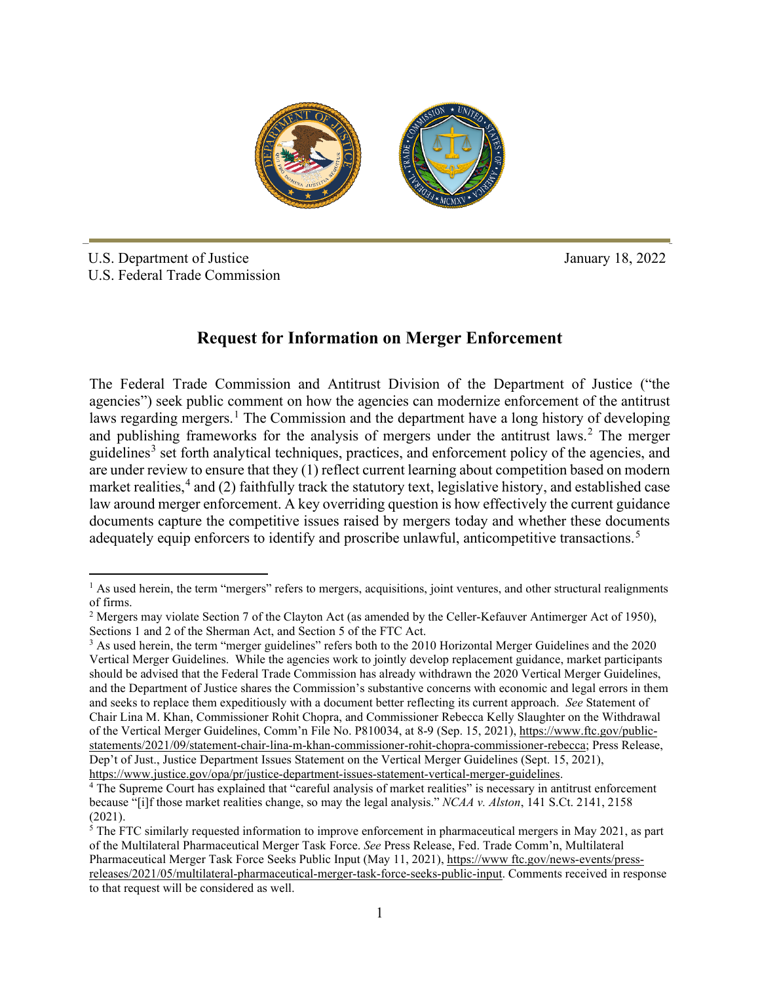

**\_\_ \_**

U.S. Department of Justice U.S. Federal Trade Commission January 18, 2022

## **Request for Information on Merger Enforcement**

The Federal Trade Commission and Antitrust Division of the Department of Justice ("the agencies") seek public comment on how the agencies can modernize enforcement of the antitrust laws regarding mergers.<sup>1</sup> The Commission and the department have a long history of developing and publishing frameworks for the analysis of mergers under the antitrust laws.<sup>2</sup> The merger guidelines<sup>3</sup> set forth analytical techniques, practices, and enforcement policy of the agencies, and are under review to ensure that they (1) reflect current learning about competition based on modern market realities,<sup>4</sup> and (2) faithfully track the statutory text, legislative history, and established case law around merger enforcement. A key overriding question is how effectively the current guidance documents capture the competitive issues raised by mergers today and whether these documents adequately equip enforcers to identify and proscribe unlawful, anticompetitive transactions.<sup>5</sup>

 $<sup>1</sup>$  As used herein, the term "mergers" refers to mergers, acquisitions, joint ventures, and other structural realignments</sup> of firms.

<sup>&</sup>lt;sup>2</sup> Mergers may violate Section 7 of the Clayton Act (as amended by the Celler-Kefauver Antimerger Act of 1950), Sections 1 and 2 of the Sherman Act, and Section 5 of the FTC Act.

<sup>&</sup>lt;sup>3</sup> As used herein, the term "merger guidelines" refers both to the 2010 Horizontal Merger Guidelines and the 2020 Vertical Merger Guidelines. While the agencies work to jointly develop replacement guidance, market participants should be advised that the Federal Trade Commission has already withdrawn the 2020 Vertical Merger Guidelines, and the Department of Justice shares the Commission's substantive concerns with economic and legal errors in them and seeks to replace them expeditiously with a document better reflecting its current approach. *See* Statement of Chair Lina M. Khan, Commissioner Rohit Chopra, and Commissioner Rebecca Kelly Slaughter on the Withdrawal of the Vertical Merger Guidelines, Comm'n File No. P810034, at 8-9 (Sep. 15, 2021), https://www.ftc.gov/publicstatements/2021/09/statement-chair-lina-m-khan-commissioner-rohit-chopra-commissioner-rebecca; Press Release, Dep't of Just., Justice Department Issues Statement on the Vertical Merger Guidelines (Sept. 15, 2021),

https://www.justice.gov/opa/pr/justice-department-issues-statement-vertical-merger-guidelines. 4 The Supreme Court has explained that "careful analysis of market realities" is necessary in antitrust enforcement because "[i]f those market realities change, so may the legal analysis." *NCAA v. Alston*, 141 S.Ct. 2141, 2158 (2021).

 $5$  The FTC similarly requested information to improve enforcement in pharmaceutical mergers in May 2021, as part of the Multilateral Pharmaceutical Merger Task Force. *See* Press Release, Fed. Trade Comm'n, Multilateral Pharmaceutical Merger Task Force Seeks Public Input (May 11, 2021), https://www.ftc.gov/news-events/pressreleases/2021/05/multilateral-pharmaceutical-merger-task-force-seeks-public-input. Comments received in response to that request will be considered as well.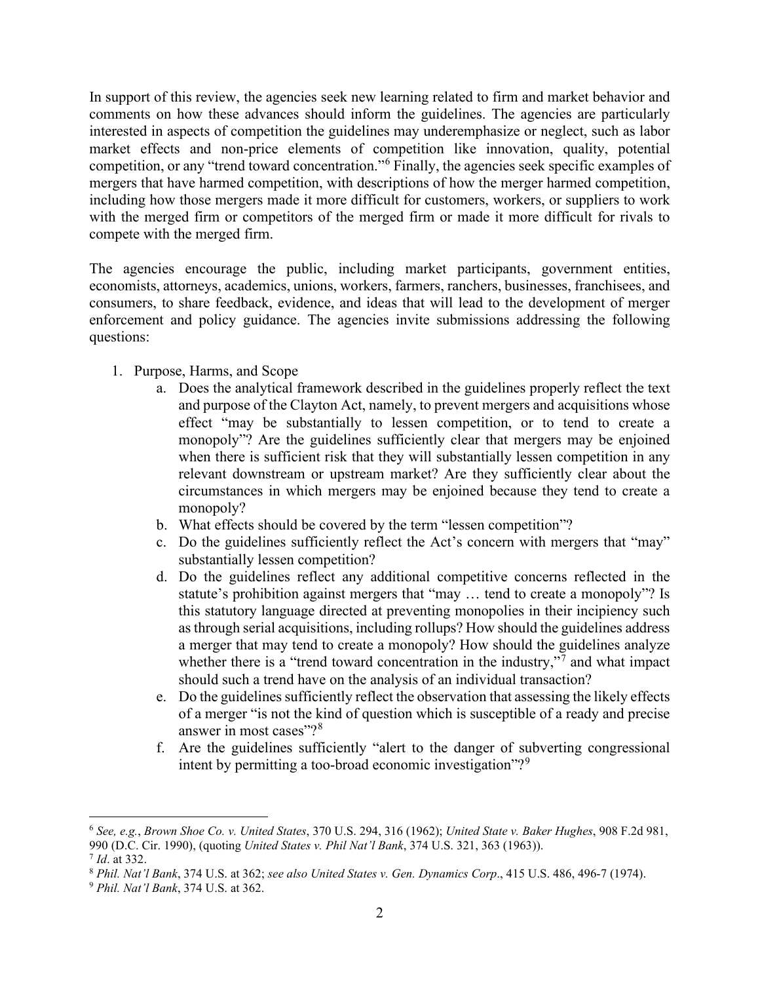In support of this review, the agencies seek new learning related to firm and market behavior and comments on how these advances should inform the guidelines. The agencies are particularly interested in aspects of competition the guidelines may underemphasize or neglect, such as labor market effects and non-price elements of competition like innovation, quality, potential competition, or any "trend toward concentration."<sup>6</sup> Finally, the agencies seek specific examples of mergers that have harmed competition, with descriptions of how the merger harmed competition, including how those mergers made it more difficult for customers, workers, or suppliers to work with the merged firm or competitors of the merged firm or made it more difficult for rivals to compete with the merged firm.

The agencies encourage the public, including market participants, government entities, economists, attorneys, academics, unions, workers, farmers, ranchers, businesses, franchisees, and consumers, to share feedback, evidence, and ideas that will lead to the development of merger enforcement and policy guidance. The agencies invite submissions addressing the following questions:

- 1. Purpose, Harms, and Scope
	- a. Does the analytical framework described in the guidelines properly reflect the text and purpose of the Clayton Act, namely, to prevent mergers and acquisitions whose effect "may be substantially to lessen competition, or to tend to create a monopoly"? Are the guidelines sufficiently clear that mergers may be enjoined when there is sufficient risk that they will substantially lessen competition in any relevant downstream or upstream market? Are they sufficiently clear about the circumstances in which mergers may be enjoined because they tend to create a monopoly?
	- b. What effects should be covered by the term "lessen competition"?
	- c. Do the guidelines sufficiently reflect the Act's concern with mergers that "may" substantially lessen competition?
	- d. Do the guidelines reflect any additional competitive concerns reflected in the statute's prohibition against mergers that "may … tend to create a monopoly"? Is this statutory language directed at preventing monopolies in their incipiency such as through serial acquisitions, including rollups? How should the guidelines address a merger that may tend to create a monopoly? How should the guidelines analyze whether there is a "trend toward concentration in the industry," $\frac{1}{2}$  and what impact should such a trend have on the analysis of an individual transaction?
	- e. Do the guidelines sufficiently reflect the observation that assessing the likely effects of a merger "is not the kind of question which is susceptible of a ready and precise answer in most cases"?<sup>8</sup>
	- f. Are the guidelines sufficiently "alert to the danger of subverting congressional intent by permitting a too-broad economic investigation"?<sup>9</sup>

<sup>6</sup> *See, e.g.*, *Brown Shoe Co. v. United States*, 370 U.S. 294, 316 (1962); *United State v. Baker Hughes*, 908 F.2d 981, 990 (D.C. Cir. 1990), (quoting *United States v. Phil Nat'l Bank*, 374 U.S. 321, 363 (1963)).

<sup>7</sup> *Id*. at 332. 8 *Phil. Nat'l Bank*, 374 U.S. at 362; *see also United States v. Gen. Dynamics Corp*., 415 U.S. 486, 496-7 (1974).

<sup>9</sup> *Phil. Nat'l Bank*, 374 U.S. at 362.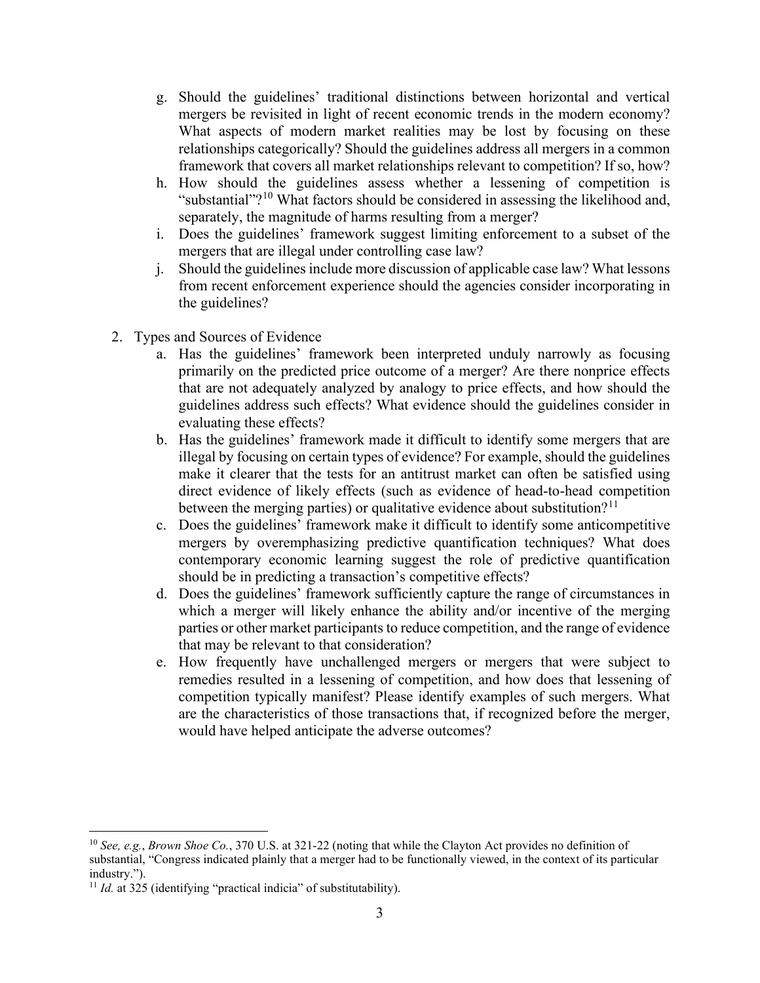- g. Should the guidelines' traditional distinctions between horizontal and vertical mergers be revisited in light of recent economic trends in the modern economy? What aspects of modern market realities may be lost by focusing on these relationships categorically? Should the guidelines address all mergers in a common framework that covers all market relationships relevant to competition? If so, how?
- h. How should the guidelines assess whether a lessening of competition is "substantial"?<sup>10</sup> What factors should be considered in assessing the likelihood and, separately, the magnitude of harms resulting from a merger?
- i. Does the guidelines' framework suggest limiting enforcement to a subset of the mergers that are illegal under controlling case law?
- j. Should the guidelines include more discussion of applicable case law? What lessons from recent enforcement experience should the agencies consider incorporating in the guidelines?
- 2. Types and Sources of Evidence
	- a. Has the guidelines' framework been interpreted unduly narrowly as focusing primarily on the predicted price outcome of a merger? Are there nonprice effects that are not adequately analyzed by analogy to price effects, and how should the guidelines address such effects? What evidence should the guidelines consider in evaluating these effects?
	- b. Has the guidelines' framework made it difficult to identify some mergers that are illegal by focusing on certain types of evidence? For example, should the guidelines make it clearer that the tests for an antitrust market can often be satisfied using direct evidence of likely effects (such as evidence of head-to-head competition between the merging parties) or qualitative evidence about substitution?<sup>11</sup>
	- c. Does the guidelines' framework make it difficult to identify some anticompetitive mergers by overemphasizing predictive quantification techniques? What does contemporary economic learning suggest the role of predictive quantification should be in predicting a transaction's competitive effects?
	- d. Does the guidelines' framework sufficiently capture the range of circumstances in which a merger will likely enhance the ability and/or incentive of the merging parties or other market participants to reduce competition, and the range of evidence that may be relevant to that consideration?
	- e. How frequently have unchallenged mergers or mergers that were subject to remedies resulted in a lessening of competition, and how does that lessening of competition typically manifest? Please identify examples of such mergers. What are the characteristics of those transactions that, if recognized before the merger, would have helped anticipate the adverse outcomes?

<sup>10</sup> *See, e.g.*, *Brown Shoe Co.*, 370 U.S. at 321-22 (noting that while the Clayton Act provides no definition of substantial, "Congress indicated plainly that a merger had to be functionally viewed, in the context of its particular industry.").

<sup>&</sup>lt;sup>11</sup> *Id.* at 325 (identifying "practical indicia" of substitutability).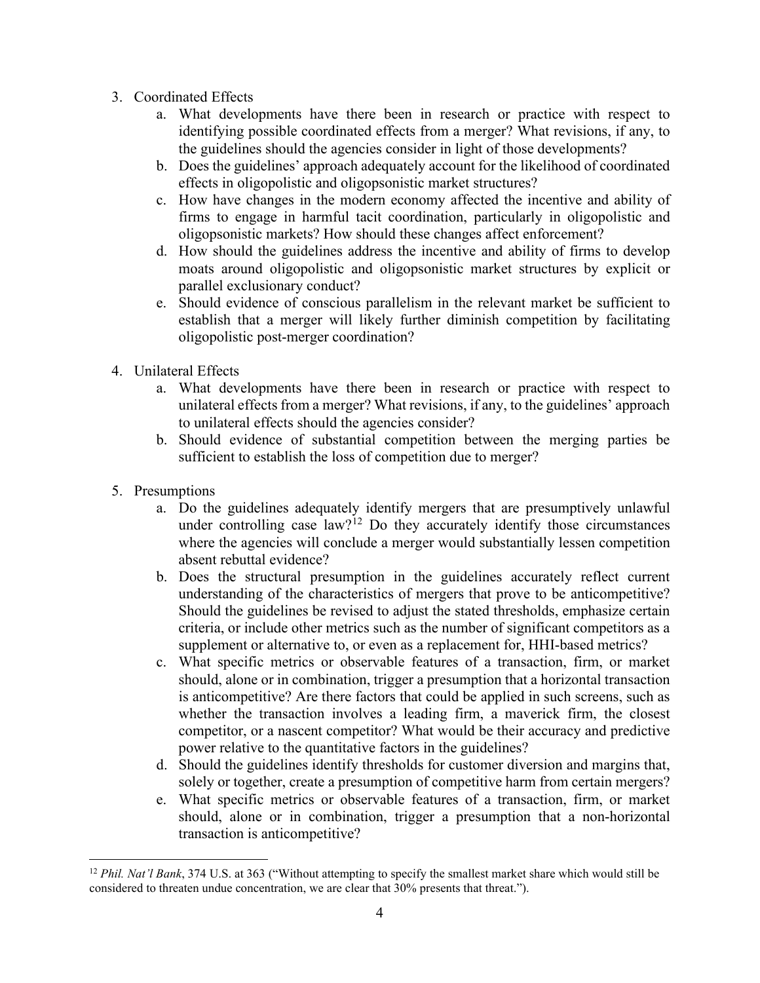- 3. Coordinated Effects
	- a. What developments have there been in research or practice with respect to identifying possible coordinated effects from a merger? What revisions, if any, to the guidelines should the agencies consider in light of those developments?
	- b. Does the guidelines' approach adequately account for the likelihood of coordinated effects in oligopolistic and oligopsonistic market structures?
	- c. How have changes in the modern economy affected the incentive and ability of firms to engage in harmful tacit coordination, particularly in oligopolistic and oligopsonistic markets? How should these changes affect enforcement?
	- d. How should the guidelines address the incentive and ability of firms to develop moats around oligopolistic and oligopsonistic market structures by explicit or parallel exclusionary conduct?
	- e. Should evidence of conscious parallelism in the relevant market be sufficient to establish that a merger will likely further diminish competition by facilitating oligopolistic post-merger coordination?
- 4. Unilateral Effects
	- a. What developments have there been in research or practice with respect to unilateral effects from a merger? What revisions, if any, to the guidelines' approach to unilateral effects should the agencies consider?
	- b. Should evidence of substantial competition between the merging parties be sufficient to establish the loss of competition due to merger?
- 5. Presumptions
	- a. Do the guidelines adequately identify mergers that are presumptively unlawful under controlling case  $\int_0^{\infty}$  law?<sup>12</sup> Do they accurately identify those circumstances where the agencies will conclude a merger would substantially lessen competition absent rebuttal evidence?
	- b. Does the structural presumption in the guidelines accurately reflect current understanding of the characteristics of mergers that prove to be anticompetitive? Should the guidelines be revised to adjust the stated thresholds, emphasize certain criteria, or include other metrics such as the number of significant competitors as a supplement or alternative to, or even as a replacement for, HHI-based metrics?
	- c. What specific metrics or observable features of a transaction, firm, or market should, alone or in combination, trigger a presumption that a horizontal transaction is anticompetitive? Are there factors that could be applied in such screens, such as whether the transaction involves a leading firm, a maverick firm, the closest competitor, or a nascent competitor? What would be their accuracy and predictive power relative to the quantitative factors in the guidelines?
	- d. Should the guidelines identify thresholds for customer diversion and margins that, solely or together, create a presumption of competitive harm from certain mergers?
	- e. What specific metrics or observable features of a transaction, firm, or market should, alone or in combination, trigger a presumption that a non-horizontal transaction is anticompetitive?

<sup>&</sup>lt;sup>12</sup> *Phil. Nat'l Bank*, 374 U.S. at 363 ("Without attempting to specify the smallest market share which would still be considered to threaten undue concentration, we are clear that 30% presents that threat.").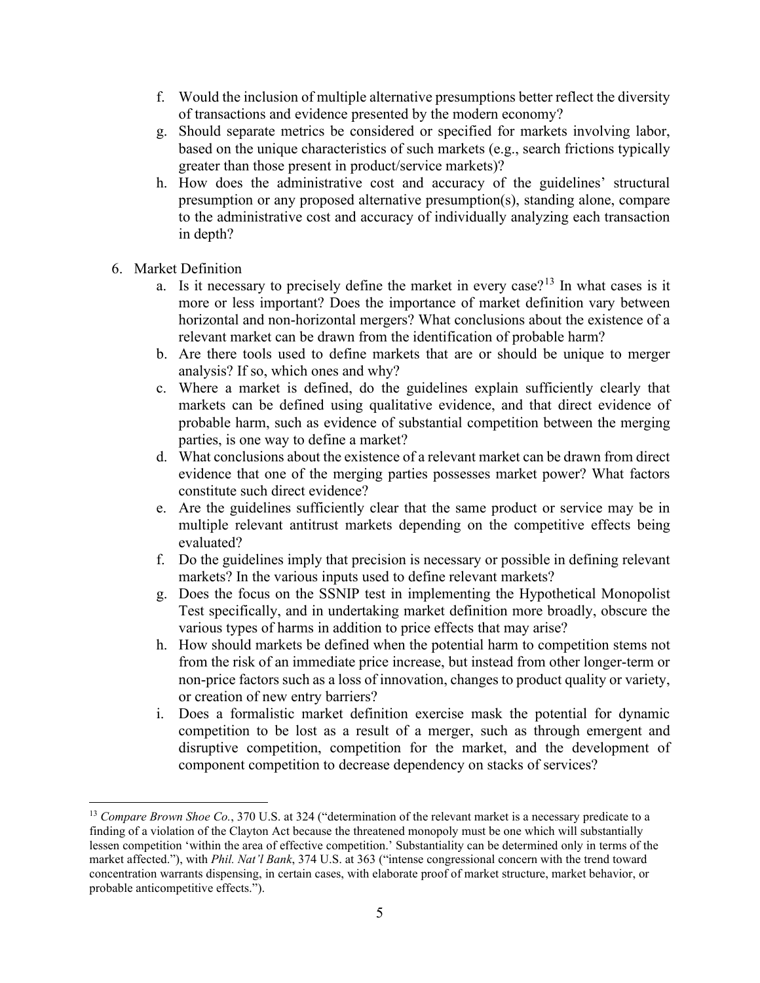- f. Would the inclusion of multiple alternative presumptions better reflect the diversity of transactions and evidence presented by the modern economy?
- g. Should separate metrics be considered or specified for markets involving labor, based on the unique characteristics of such markets (e.g., search frictions typically greater than those present in product/service markets)?
- h. How does the administrative cost and accuracy of the guidelines' structural presumption or any proposed alternative presumption(s), standing alone, compare to the administrative cost and accuracy of individually analyzing each transaction in depth?
- 6. Market Definition
	- a. Is it necessary to precisely define the market in every case?<sup>13</sup> In what cases is it more or less important? Does the importance of market definition vary between horizontal and non-horizontal mergers? What conclusions about the existence of a relevant market can be drawn from the identification of probable harm?
	- b. Are there tools used to define markets that are or should be unique to merger analysis? If so, which ones and why?
	- c. Where a market is defined, do the guidelines explain sufficiently clearly that markets can be defined using qualitative evidence, and that direct evidence of probable harm, such as evidence of substantial competition between the merging parties, is one way to define a market?
	- d. What conclusions about the existence of a relevant market can be drawn from direct evidence that one of the merging parties possesses market power? What factors constitute such direct evidence?
	- e. Are the guidelines sufficiently clear that the same product or service may be in multiple relevant antitrust markets depending on the competitive effects being evaluated?
	- f. Do the guidelines imply that precision is necessary or possible in defining relevant markets? In the various inputs used to define relevant markets?
	- g. Does the focus on the SSNIP test in implementing the Hypothetical Monopolist Test specifically, and in undertaking market definition more broadly, obscure the various types of harms in addition to price effects that may arise?
	- h. How should markets be defined when the potential harm to competition stems not from the risk of an immediate price increase, but instead from other longer-term or non-price factors such as a loss of innovation, changes to product quality or variety, or creation of new entry barriers?
	- i. Does a formalistic market definition exercise mask the potential for dynamic competition to be lost as a result of a merger, such as through emergent and disruptive competition, competition for the market, and the development of component competition to decrease dependency on stacks of services?

<sup>&</sup>lt;sup>13</sup> *Compare Brown Shoe Co.*, 370 U.S. at 324 ("determination of the relevant market is a necessary predicate to a finding of a violation of the Clayton Act because the threatened monopoly must be one which will substantially lessen competition 'within the area of effective competition.' Substantiality can be determined only in terms of the market affected."), with *Phil. Nat'l Bank*, 374 U.S. at 363 ("intense congressional concern with the trend toward concentration warrants dispensing, in certain cases, with elaborate proof of market structure, market behavior, or probable anticompetitive effects.").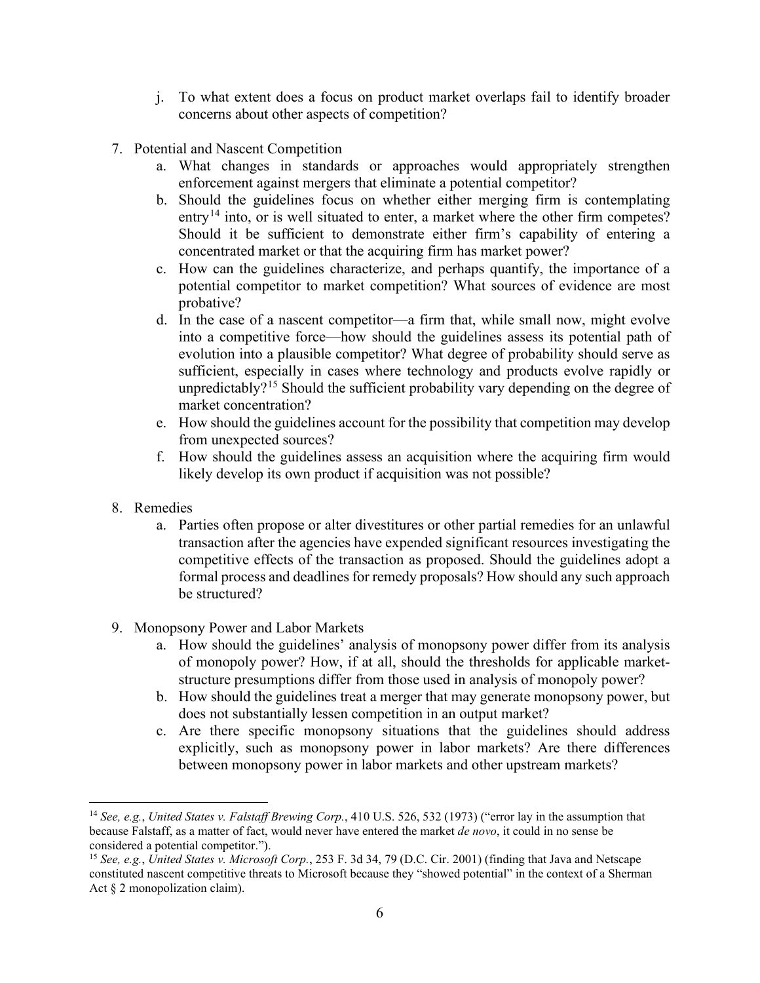- j. To what extent does a focus on product market overlaps fail to identify broader concerns about other aspects of competition?
- 7. Potential and Nascent Competition
	- a. What changes in standards or approaches would appropriately strengthen enforcement against mergers that eliminate a potential competitor?
	- b. Should the guidelines focus on whether either merging firm is contemplating entry<sup>14</sup> into, or is well situated to enter, a market where the other firm competes? Should it be sufficient to demonstrate either firm's capability of entering a concentrated market or that the acquiring firm has market power?
	- c. How can the guidelines characterize, and perhaps quantify, the importance of a potential competitor to market competition? What sources of evidence are most probative?
	- d. In the case of a nascent competitor—a firm that, while small now, might evolve into a competitive force—how should the guidelines assess its potential path of evolution into a plausible competitor? What degree of probability should serve as sufficient, especially in cases where technology and products evolve rapidly or unpredictably?<sup>15</sup> Should the sufficient probability vary depending on the degree of market concentration?
	- e. How should the guidelines account for the possibility that competition may develop from unexpected sources?
	- f. How should the guidelines assess an acquisition where the acquiring firm would likely develop its own product if acquisition was not possible?
- 8. Remedies
	- a. Parties often propose or alter divestitures or other partial remedies for an unlawful transaction after the agencies have expended significant resources investigating the competitive effects of the transaction as proposed. Should the guidelines adopt a formal process and deadlines for remedy proposals? How should any such approach be structured?
- 9. Monopsony Power and Labor Markets
	- a. How should the guidelines' analysis of monopsony power differ from its analysis of monopoly power? How, if at all, should the thresholds for applicable marketstructure presumptions differ from those used in analysis of monopoly power?
	- b. How should the guidelines treat a merger that may generate monopsony power, but does not substantially lessen competition in an output market?
	- c. Are there specific monopsony situations that the guidelines should address explicitly, such as monopsony power in labor markets? Are there differences between monopsony power in labor markets and other upstream markets?

<sup>14</sup> *See, e.g.*, *United States v. Falstaff Brewing Corp.*, 410 U.S. 526, 532 (1973) ("error lay in the assumption that because Falstaff, as a matter of fact, would never have entered the market *de novo*, it could in no sense be

<sup>&</sup>lt;sup>15</sup> See, e.g., *United States v. Microsoft Corp.*, 253 F. 3d 34, 79 (D.C. Cir. 2001) (finding that Java and Netscape constituted nascent competitive threats to Microsoft because they "showed potential" in the context of a Sherman Act § 2 monopolization claim).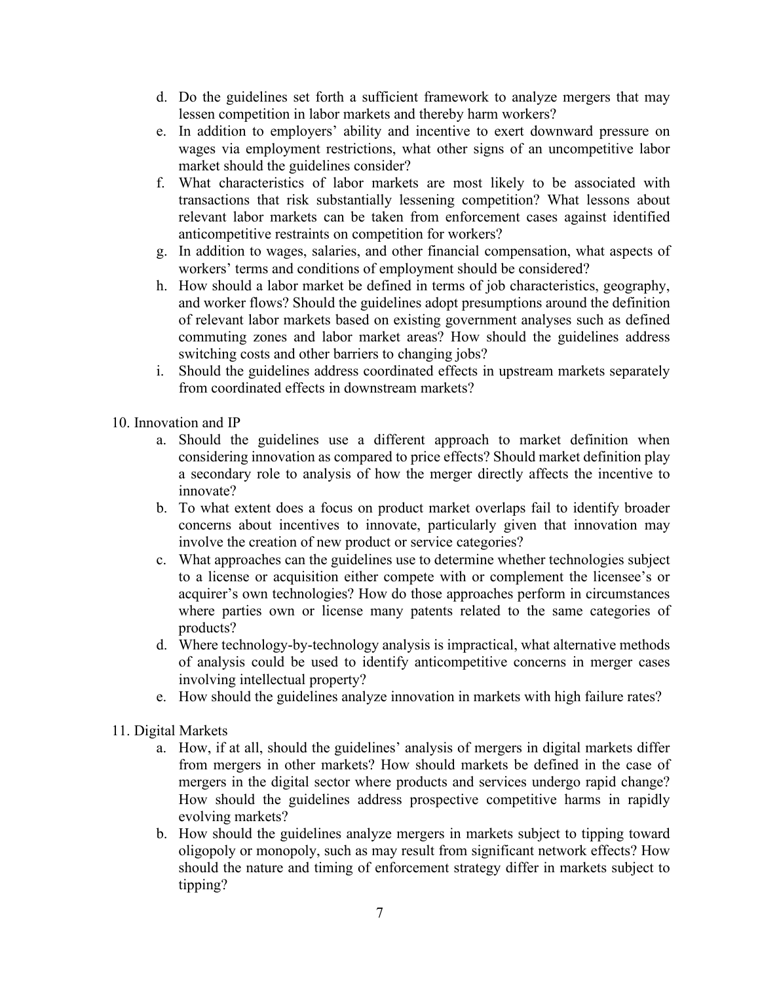- d. Do the guidelines set forth a sufficient framework to analyze mergers that may lessen competition in labor markets and thereby harm workers?
- e. In addition to employers' ability and incentive to exert downward pressure on wages via employment restrictions, what other signs of an uncompetitive labor market should the guidelines consider?
- f. What characteristics of labor markets are most likely to be associated with transactions that risk substantially lessening competition? What lessons about relevant labor markets can be taken from enforcement cases against identified anticompetitive restraints on competition for workers?
- g. In addition to wages, salaries, and other financial compensation, what aspects of workers' terms and conditions of employment should be considered?
- h. How should a labor market be defined in terms of job characteristics, geography, and worker flows? Should the guidelines adopt presumptions around the definition of relevant labor markets based on existing government analyses such as defined commuting zones and labor market areas? How should the guidelines address switching costs and other barriers to changing jobs?
- i. Should the guidelines address coordinated effects in upstream markets separately from coordinated effects in downstream markets?
- 10. Innovation and IP
	- a. Should the guidelines use a different approach to market definition when considering innovation as compared to price effects? Should market definition play a secondary role to analysis of how the merger directly affects the incentive to innovate?
	- b. To what extent does a focus on product market overlaps fail to identify broader concerns about incentives to innovate, particularly given that innovation may involve the creation of new product or service categories?
	- c. What approaches can the guidelines use to determine whether technologies subject to a license or acquisition either compete with or complement the licensee's or acquirer's own technologies? How do those approaches perform in circumstances where parties own or license many patents related to the same categories of products?
	- d. Where technology-by-technology analysis is impractical, what alternative methods of analysis could be used to identify anticompetitive concerns in merger cases involving intellectual property?
	- e. How should the guidelines analyze innovation in markets with high failure rates?
- 11. Digital Markets
	- a. How, if at all, should the guidelines' analysis of mergers in digital markets differ from mergers in other markets? How should markets be defined in the case of mergers in the digital sector where products and services undergo rapid change? How should the guidelines address prospective competitive harms in rapidly evolving markets?
	- b. How should the guidelines analyze mergers in markets subject to tipping toward oligopoly or monopoly, such as may result from significant network effects? How should the nature and timing of enforcement strategy differ in markets subject to tipping?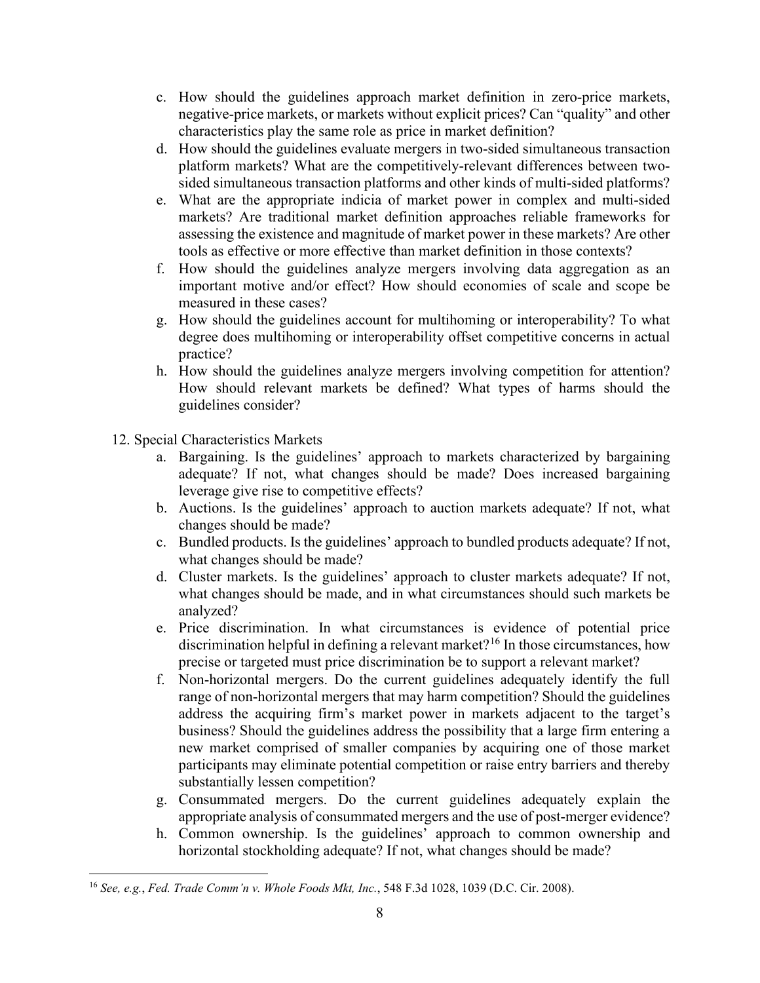- c. How should the guidelines approach market definition in zero-price markets, negative-price markets, or markets without explicit prices? Can "quality" and other characteristics play the same role as price in market definition?
- d. How should the guidelines evaluate mergers in two-sided simultaneous transaction platform markets? What are the competitively-relevant differences between twosided simultaneous transaction platforms and other kinds of multi-sided platforms?
- e. What are the appropriate indicia of market power in complex and multi-sided markets? Are traditional market definition approaches reliable frameworks for assessing the existence and magnitude of market power in these markets? Are other tools as effective or more effective than market definition in those contexts?
- f. How should the guidelines analyze mergers involving data aggregation as an important motive and/or effect? How should economies of scale and scope be measured in these cases?
- g. How should the guidelines account for multihoming or interoperability? To what degree does multihoming or interoperability offset competitive concerns in actual practice?
- h. How should the guidelines analyze mergers involving competition for attention? How should relevant markets be defined? What types of harms should the guidelines consider?
- 12. Special Characteristics Markets
	- a. Bargaining. Is the guidelines' approach to markets characterized by bargaining adequate? If not, what changes should be made? Does increased bargaining leverage give rise to competitive effects?
	- b. Auctions. Is the guidelines' approach to auction markets adequate? If not, what changes should be made?
	- c. Bundled products. Is the guidelines' approach to bundled products adequate? If not, what changes should be made?
	- d. Cluster markets. Is the guidelines' approach to cluster markets adequate? If not, what changes should be made, and in what circumstances should such markets be analyzed?
	- e. Price discrimination. In what circumstances is evidence of potential price discrimination helpful in defining a relevant market?<sup>16</sup> In those circumstances, how precise or targeted must price discrimination be to support a relevant market?
	- f. Non-horizontal mergers. Do the current guidelines adequately identify the full range of non-horizontal mergers that may harm competition? Should the guidelines address the acquiring firm's market power in markets adjacent to the target's business? Should the guidelines address the possibility that a large firm entering a new market comprised of smaller companies by acquiring one of those market participants may eliminate potential competition or raise entry barriers and thereby substantially lessen competition?
	- g. Consummated mergers. Do the current guidelines adequately explain the appropriate analysis of consummated mergers and the use of post-merger evidence?
	- h. Common ownership. Is the guidelines' approach to common ownership and horizontal stockholding adequate? If not, what changes should be made?

<sup>16</sup> *See, e.g.*, *Fed. Trade Comm'n v. Whole Foods Mkt, Inc.*, 548 F.3d 1028, 1039 (D.C. Cir. 2008).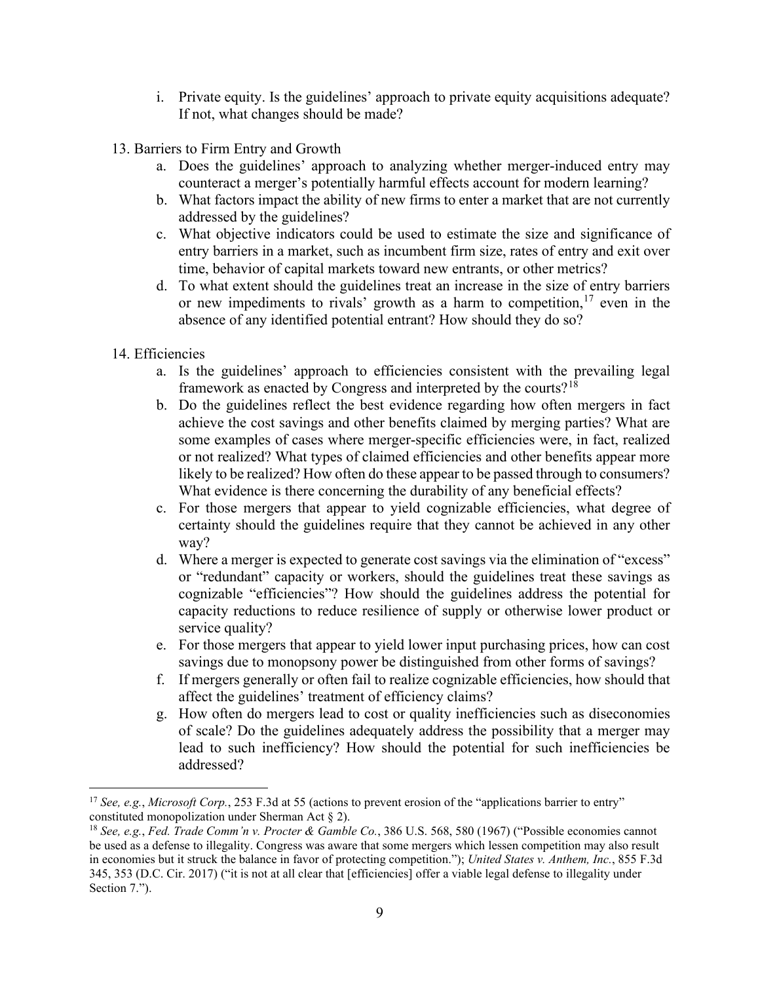- i. Private equity. Is the guidelines' approach to private equity acquisitions adequate? If not, what changes should be made?
- 13. Barriers to Firm Entry and Growth
	- a. Does the guidelines' approach to analyzing whether merger-induced entry may counteract a merger's potentially harmful effects account for modern learning?
	- b. What factors impact the ability of new firms to enter a market that are not currently addressed by the guidelines?
	- c. What objective indicators could be used to estimate the size and significance of entry barriers in a market, such as incumbent firm size, rates of entry and exit over time, behavior of capital markets toward new entrants, or other metrics?
	- d. To what extent should the guidelines treat an increase in the size of entry barriers or new impediments to rivals' growth as a harm to competition,  $17$  even in the absence of any identified potential entrant? How should they do so?
- 14. Efficiencies
	- a. Is the guidelines' approach to efficiencies consistent with the prevailing legal framework as enacted by Congress and interpreted by the courts?<sup>18</sup>
	- b. Do the guidelines reflect the best evidence regarding how often mergers in fact achieve the cost savings and other benefits claimed by merging parties? What are some examples of cases where merger-specific efficiencies were, in fact, realized or not realized? What types of claimed efficiencies and other benefits appear more likely to be realized? How often do these appear to be passed through to consumers? What evidence is there concerning the durability of any beneficial effects?
	- c. For those mergers that appear to yield cognizable efficiencies, what degree of certainty should the guidelines require that they cannot be achieved in any other way?
	- d. Where a merger is expected to generate cost savings via the elimination of "excess" or "redundant" capacity or workers, should the guidelines treat these savings as cognizable "efficiencies"? How should the guidelines address the potential for capacity reductions to reduce resilience of supply or otherwise lower product or service quality?
	- e. For those mergers that appear to yield lower input purchasing prices, how can cost savings due to monopsony power be distinguished from other forms of savings?
	- f. If mergers generally or often fail to realize cognizable efficiencies, how should that affect the guidelines' treatment of efficiency claims?
	- g. How often do mergers lead to cost or quality inefficiencies such as diseconomies of scale? Do the guidelines adequately address the possibility that a merger may lead to such inefficiency? How should the potential for such inefficiencies be addressed?

<sup>&</sup>lt;sup>17</sup> *See, e.g., Microsoft Corp.*, 253 F.3d at 55 (actions to prevent erosion of the "applications barrier to entry" constituted monopolization under Sherman Act § 2).

<sup>&</sup>lt;sup>18</sup> See, e.g., *Fed. Trade Comm'n v. Procter & Gamble Co.*, 386 U.S. 568, 580 (1967) ("Possible economies cannot be used as a defense to illegality. Congress was aware that some mergers which lessen competition may also result in economies but it struck the balance in favor of protecting competition."); *United States v. Anthem, Inc.*, 855 F.3d 345, 353 (D.C. Cir. 2017) ("it is not at all clear that [efficiencies] offer a viable legal defense to illegality under Section 7.").